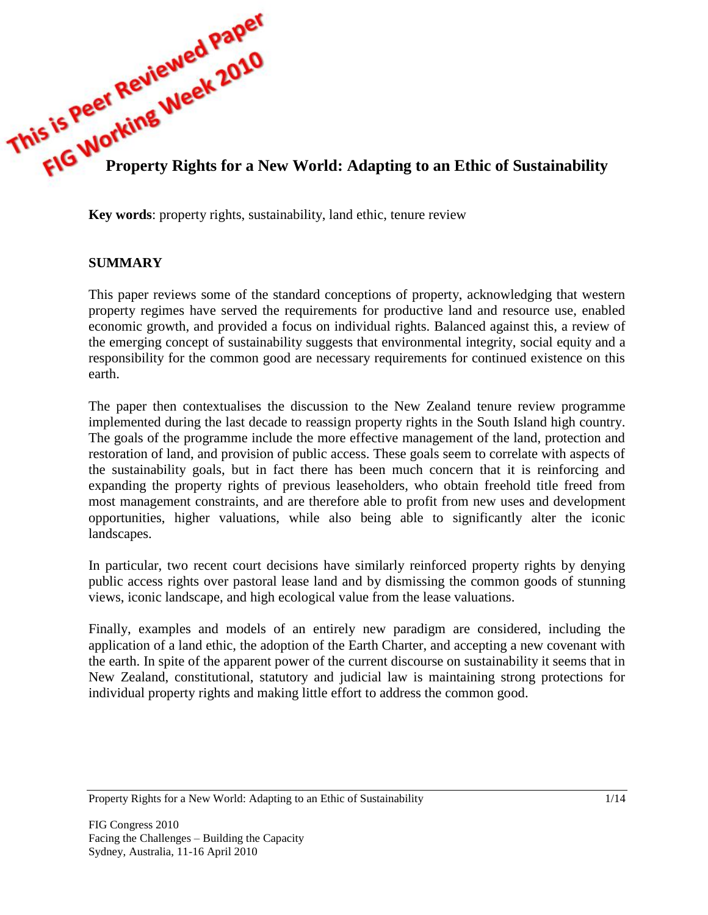

**Key words**: property rights, sustainability, land ethic, tenure review

## **SUMMARY**

This paper reviews some of the standard conceptions of property, acknowledging that western property regimes have served the requirements for productive land and resource use, enabled economic growth, and provided a focus on individual rights. Balanced against this, a review of the emerging concept of sustainability suggests that environmental integrity, social equity and a responsibility for the common good are necessary requirements for continued existence on this earth.

The paper then contextualises the discussion to the New Zealand tenure review programme implemented during the last decade to reassign property rights in the South Island high country. The goals of the programme include the more effective management of the land, protection and restoration of land, and provision of public access. These goals seem to correlate with aspects of the sustainability goals, but in fact there has been much concern that it is reinforcing and expanding the property rights of previous leaseholders, who obtain freehold title freed from most management constraints, and are therefore able to profit from new uses and development opportunities, higher valuations, while also being able to significantly alter the iconic landscapes.

In particular, two recent court decisions have similarly reinforced property rights by denying public access rights over pastoral lease land and by dismissing the common goods of stunning views, iconic landscape, and high ecological value from the lease valuations.

Finally, examples and models of an entirely new paradigm are considered, including the application of a land ethic, the adoption of the Earth Charter, and accepting a new covenant with the earth. In spite of the apparent power of the current discourse on sustainability it seems that in New Zealand, constitutional, statutory and judicial law is maintaining strong protections for individual property rights and making little effort to address the common good.

Property Rights for a New World: Adapting to an Ethic of Sustainability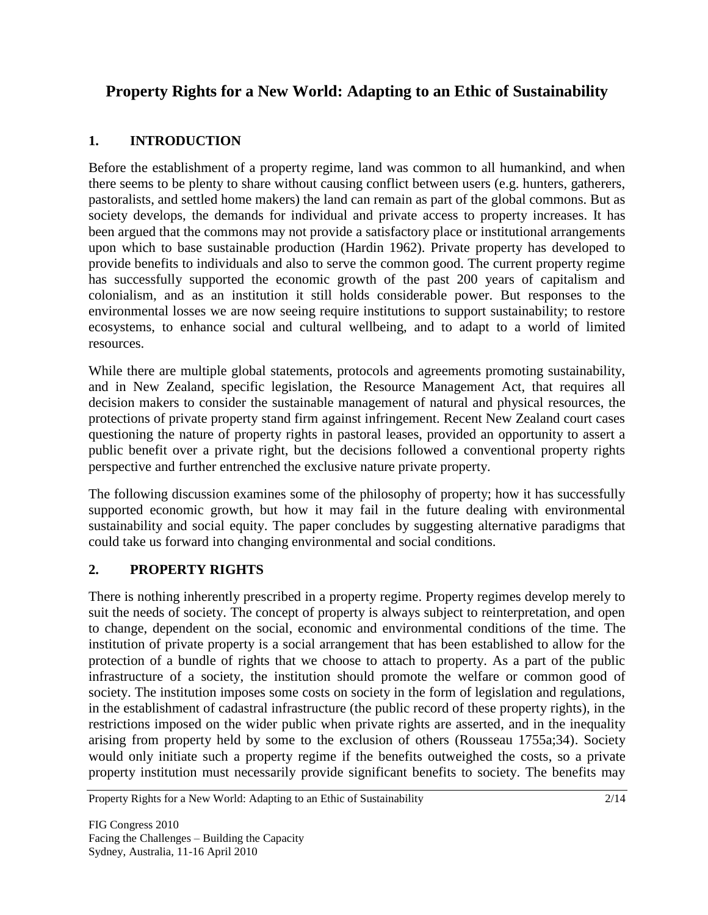# **Property Rights for a New World: Adapting to an Ethic of Sustainability**

# **1. INTRODUCTION**

Before the establishment of a property regime, land was common to all humankind, and when there seems to be plenty to share without causing conflict between users (e.g. hunters, gatherers, pastoralists, and settled home makers) the land can remain as part of the global commons. But as society develops, the demands for individual and private access to property increases. It has been argued that the commons may not provide a satisfactory place or institutional arrangements upon which to base sustainable production (Hardin 1962). Private property has developed to provide benefits to individuals and also to serve the common good. The current property regime has successfully supported the economic growth of the past 200 years of capitalism and colonialism, and as an institution it still holds considerable power. But responses to the environmental losses we are now seeing require institutions to support sustainability; to restore ecosystems, to enhance social and cultural wellbeing, and to adapt to a world of limited resources.

While there are multiple global statements, protocols and agreements promoting sustainability, and in New Zealand, specific legislation, the Resource Management Act, that requires all decision makers to consider the sustainable management of natural and physical resources, the protections of private property stand firm against infringement. Recent New Zealand court cases questioning the nature of property rights in pastoral leases, provided an opportunity to assert a public benefit over a private right, but the decisions followed a conventional property rights perspective and further entrenched the exclusive nature private property.

The following discussion examines some of the philosophy of property; how it has successfully supported economic growth, but how it may fail in the future dealing with environmental sustainability and social equity. The paper concludes by suggesting alternative paradigms that could take us forward into changing environmental and social conditions.

# **2. PROPERTY RIGHTS**

There is nothing inherently prescribed in a property regime. Property regimes develop merely to suit the needs of society. The concept of property is always subject to reinterpretation, and open to change, dependent on the social, economic and environmental conditions of the time. The institution of private property is a social arrangement that has been established to allow for the protection of a bundle of rights that we choose to attach to property. As a part of the public infrastructure of a society, the institution should promote the welfare or common good of society. The institution imposes some costs on society in the form of legislation and regulations, in the establishment of cadastral infrastructure (the public record of these property rights), in the restrictions imposed on the wider public when private rights are asserted, and in the inequality arising from property held by some to the exclusion of others (Rousseau 1755a;34). Society would only initiate such a property regime if the benefits outweighed the costs, so a private property institution must necessarily provide significant benefits to society. The benefits may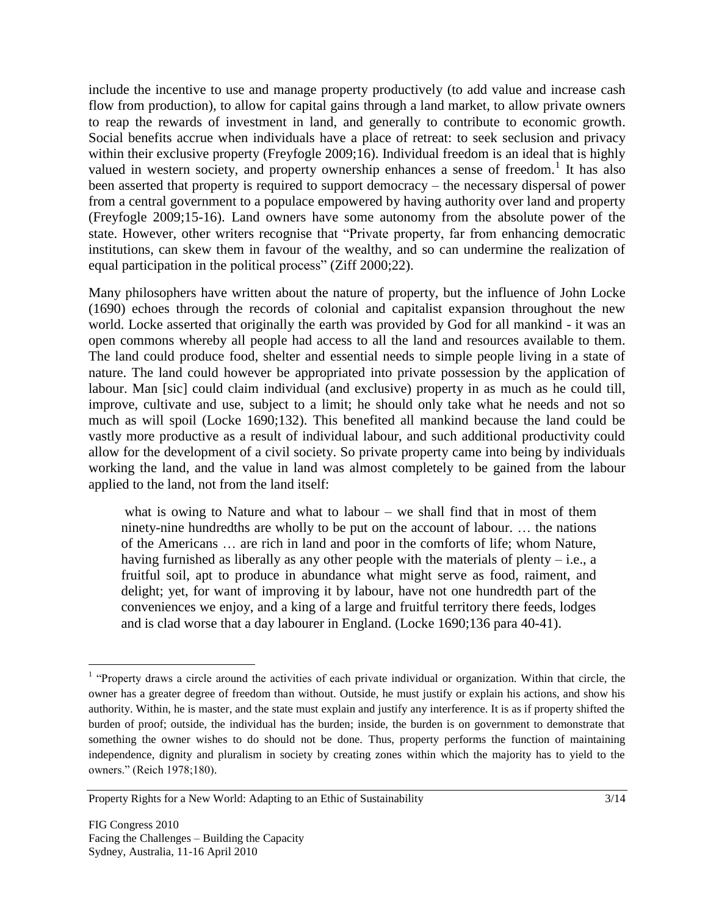include the incentive to use and manage property productively (to add value and increase cash flow from production), to allow for capital gains through a land market, to allow private owners to reap the rewards of investment in land, and generally to contribute to economic growth. Social benefits accrue when individuals have a place of retreat: to seek seclusion and privacy within their exclusive property (Freyfogle 2009;16). Individual freedom is an ideal that is highly valued in western society, and property ownership enhances a sense of freedom.<sup>1</sup> It has also been asserted that property is required to support democracy – the necessary dispersal of power from a central government to a populace empowered by having authority over land and property (Freyfogle 2009;15-16). Land owners have some autonomy from the absolute power of the state. However, other writers recognise that "Private property, far from enhancing democratic institutions, can skew them in favour of the wealthy, and so can undermine the realization of equal participation in the political process" (Ziff 2000;22).

Many philosophers have written about the nature of property, but the influence of John Locke (1690) echoes through the records of colonial and capitalist expansion throughout the new world. Locke asserted that originally the earth was provided by God for all mankind - it was an open commons whereby all people had access to all the land and resources available to them. The land could produce food, shelter and essential needs to simple people living in a state of nature. The land could however be appropriated into private possession by the application of labour. Man [sic] could claim individual (and exclusive) property in as much as he could till, improve, cultivate and use, subject to a limit; he should only take what he needs and not so much as will spoil (Locke 1690;132). This benefited all mankind because the land could be vastly more productive as a result of individual labour, and such additional productivity could allow for the development of a civil society. So private property came into being by individuals working the land, and the value in land was almost completely to be gained from the labour applied to the land, not from the land itself:

what is owing to Nature and what to labour  $-$  we shall find that in most of them ninety-nine hundredths are wholly to be put on the account of labour. … the nations of the Americans … are rich in land and poor in the comforts of life; whom Nature, having furnished as liberally as any other people with the materials of plenty  $-$  i.e., a fruitful soil, apt to produce in abundance what might serve as food, raiment, and delight; yet, for want of improving it by labour, have not one hundredth part of the conveniences we enjoy, and a king of a large and fruitful territory there feeds, lodges and is clad worse that a day labourer in England. (Locke 1690;136 para 40-41).

<sup>&</sup>lt;sup>1</sup> "Property draws a circle around the activities of each private individual or organization. Within that circle, the owner has a greater degree of freedom than without. Outside, he must justify or explain his actions, and show his authority. Within, he is master, and the state must explain and justify any interference. It is as if property shifted the burden of proof; outside, the individual has the burden; inside, the burden is on government to demonstrate that something the owner wishes to do should not be done. Thus, property performs the function of maintaining independence, dignity and pluralism in society by creating zones within which the majority has to yield to the owners." (Reich 1978;180).

Property Rights for a New World: Adapting to an Ethic of Sustainability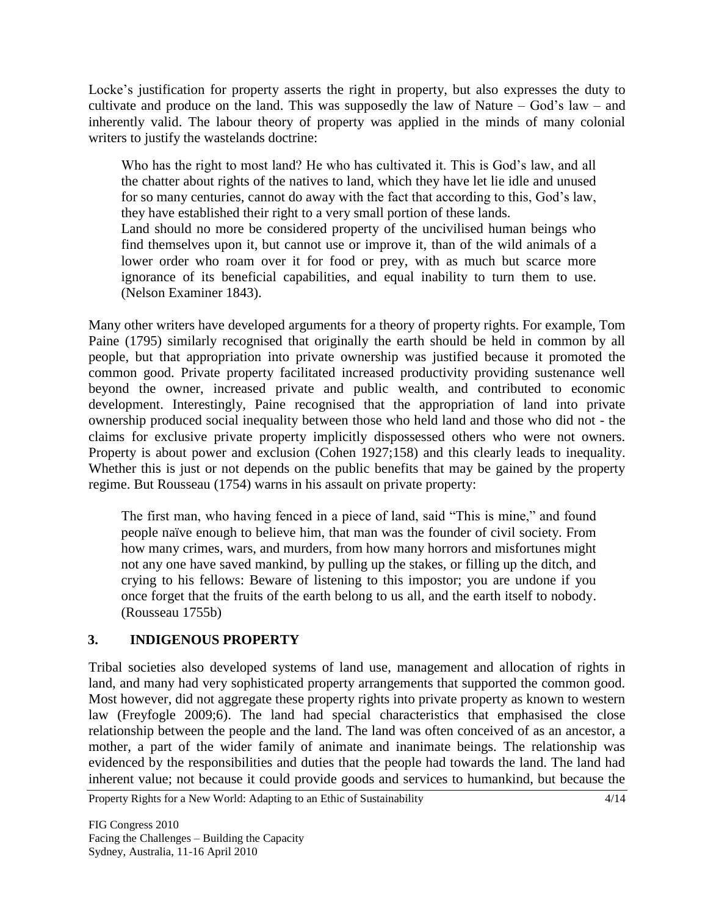Locke's justification for property asserts the right in property, but also expresses the duty to cultivate and produce on the land. This was supposedly the law of Nature – God's law – and inherently valid. The labour theory of property was applied in the minds of many colonial writers to justify the wastelands doctrine:

Who has the right to most land? He who has cultivated it. This is God's law, and all the chatter about rights of the natives to land, which they have let lie idle and unused for so many centuries, cannot do away with the fact that according to this, God"s law, they have established their right to a very small portion of these lands. Land should no more be considered property of the uncivilised human beings who find themselves upon it, but cannot use or improve it, than of the wild animals of a lower order who roam over it for food or prey, with as much but scarce more ignorance of its beneficial capabilities, and equal inability to turn them to use. (Nelson Examiner 1843).

Many other writers have developed arguments for a theory of property rights. For example, Tom Paine (1795) similarly recognised that originally the earth should be held in common by all people, but that appropriation into private ownership was justified because it promoted the common good. Private property facilitated increased productivity providing sustenance well beyond the owner, increased private and public wealth, and contributed to economic development. Interestingly, Paine recognised that the appropriation of land into private ownership produced social inequality between those who held land and those who did not - the claims for exclusive private property implicitly dispossessed others who were not owners. Property is about power and exclusion (Cohen 1927;158) and this clearly leads to inequality. Whether this is just or not depends on the public benefits that may be gained by the property regime. But Rousseau (1754) warns in his assault on private property:

The first man, who having fenced in a piece of land, said "This is mine," and found people naïve enough to believe him, that man was the founder of civil society. From how many crimes, wars, and murders, from how many horrors and misfortunes might not any one have saved mankind, by pulling up the stakes, or filling up the ditch, and crying to his fellows: Beware of listening to this impostor; you are undone if you once forget that the fruits of the earth belong to us all, and the earth itself to nobody. (Rousseau 1755b)

## **3. INDIGENOUS PROPERTY**

Tribal societies also developed systems of land use, management and allocation of rights in land, and many had very sophisticated property arrangements that supported the common good. Most however, did not aggregate these property rights into private property as known to western law (Freyfogle 2009;6). The land had special characteristics that emphasised the close relationship between the people and the land. The land was often conceived of as an ancestor, a mother, a part of the wider family of animate and inanimate beings. The relationship was evidenced by the responsibilities and duties that the people had towards the land. The land had inherent value; not because it could provide goods and services to humankind, but because the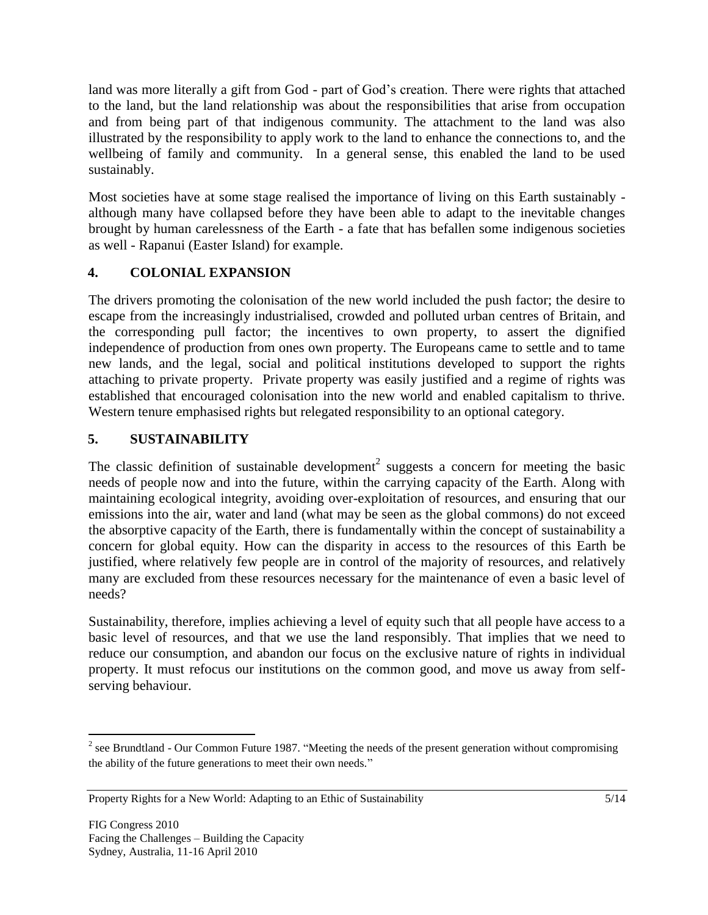land was more literally a gift from God - part of God"s creation. There were rights that attached to the land, but the land relationship was about the responsibilities that arise from occupation and from being part of that indigenous community. The attachment to the land was also illustrated by the responsibility to apply work to the land to enhance the connections to, and the wellbeing of family and community. In a general sense, this enabled the land to be used sustainably.

Most societies have at some stage realised the importance of living on this Earth sustainably although many have collapsed before they have been able to adapt to the inevitable changes brought by human carelessness of the Earth - a fate that has befallen some indigenous societies as well - Rapanui (Easter Island) for example.

## **4. COLONIAL EXPANSION**

The drivers promoting the colonisation of the new world included the push factor; the desire to escape from the increasingly industrialised, crowded and polluted urban centres of Britain, and the corresponding pull factor; the incentives to own property, to assert the dignified independence of production from ones own property. The Europeans came to settle and to tame new lands, and the legal, social and political institutions developed to support the rights attaching to private property. Private property was easily justified and a regime of rights was established that encouraged colonisation into the new world and enabled capitalism to thrive. Western tenure emphasised rights but relegated responsibility to an optional category.

## **5. SUSTAINABILITY**

The classic definition of sustainable development<sup>2</sup> suggests a concern for meeting the basic needs of people now and into the future, within the carrying capacity of the Earth. Along with maintaining ecological integrity, avoiding over-exploitation of resources, and ensuring that our emissions into the air, water and land (what may be seen as the global commons) do not exceed the absorptive capacity of the Earth, there is fundamentally within the concept of sustainability a concern for global equity. How can the disparity in access to the resources of this Earth be justified, where relatively few people are in control of the majority of resources, and relatively many are excluded from these resources necessary for the maintenance of even a basic level of needs?

Sustainability, therefore, implies achieving a level of equity such that all people have access to a basic level of resources, and that we use the land responsibly. That implies that we need to reduce our consumption, and abandon our focus on the exclusive nature of rights in individual property. It must refocus our institutions on the common good, and move us away from selfserving behaviour.

 $2^2$  see Brundtland - Our Common Future 1987. "Meeting the needs of the present generation without compromising the ability of the future generations to meet their own needs."

Property Rights for a New World: Adapting to an Ethic of Sustainability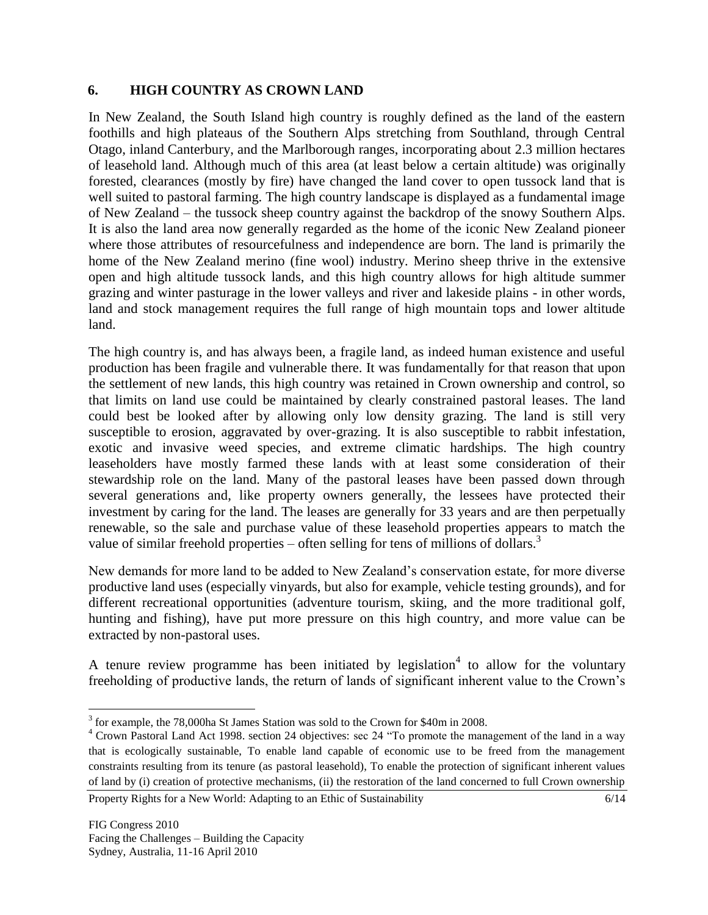## **6. HIGH COUNTRY AS CROWN LAND**

In New Zealand, the South Island high country is roughly defined as the land of the eastern foothills and high plateaus of the Southern Alps stretching from Southland, through Central Otago, inland Canterbury, and the Marlborough ranges, incorporating about 2.3 million hectares of leasehold land. Although much of this area (at least below a certain altitude) was originally forested, clearances (mostly by fire) have changed the land cover to open tussock land that is well suited to pastoral farming. The high country landscape is displayed as a fundamental image of New Zealand – the tussock sheep country against the backdrop of the snowy Southern Alps. It is also the land area now generally regarded as the home of the iconic New Zealand pioneer where those attributes of resourcefulness and independence are born. The land is primarily the home of the New Zealand merino (fine wool) industry. Merino sheep thrive in the extensive open and high altitude tussock lands, and this high country allows for high altitude summer grazing and winter pasturage in the lower valleys and river and lakeside plains - in other words, land and stock management requires the full range of high mountain tops and lower altitude land.

The high country is, and has always been, a fragile land, as indeed human existence and useful production has been fragile and vulnerable there. It was fundamentally for that reason that upon the settlement of new lands, this high country was retained in Crown ownership and control, so that limits on land use could be maintained by clearly constrained pastoral leases. The land could best be looked after by allowing only low density grazing. The land is still very susceptible to erosion, aggravated by over-grazing. It is also susceptible to rabbit infestation, exotic and invasive weed species, and extreme climatic hardships. The high country leaseholders have mostly farmed these lands with at least some consideration of their stewardship role on the land. Many of the pastoral leases have been passed down through several generations and, like property owners generally, the lessees have protected their investment by caring for the land. The leases are generally for 33 years and are then perpetually renewable, so the sale and purchase value of these leasehold properties appears to match the value of similar freehold properties – often selling for tens of millions of dollars.<sup>3</sup>

New demands for more land to be added to New Zealand"s conservation estate, for more diverse productive land uses (especially vinyards, but also for example, vehicle testing grounds), and for different recreational opportunities (adventure tourism, skiing, and the more traditional golf, hunting and fishing), have put more pressure on this high country, and more value can be extracted by non-pastoral uses.

A tenure review programme has been initiated by legislation<sup>4</sup> to allow for the voluntary freeholding of productive lands, the return of lands of significant inherent value to the Crown"s

 $\overline{a}$ <sup>3</sup> for example, the 78,000ha St James Station was sold to the Crown for \$40m in 2008.

<sup>&</sup>lt;sup>4</sup> Crown Pastoral Land Act 1998. section 24 objectives: sec 24 "To promote the management of the land in a way that is ecologically sustainable, To enable land capable of economic use to be freed from the management constraints resulting from its tenure (as pastoral leasehold), To enable the protection of significant inherent values of land by (i) creation of protective mechanisms, (ii) the restoration of the land concerned to full Crown ownership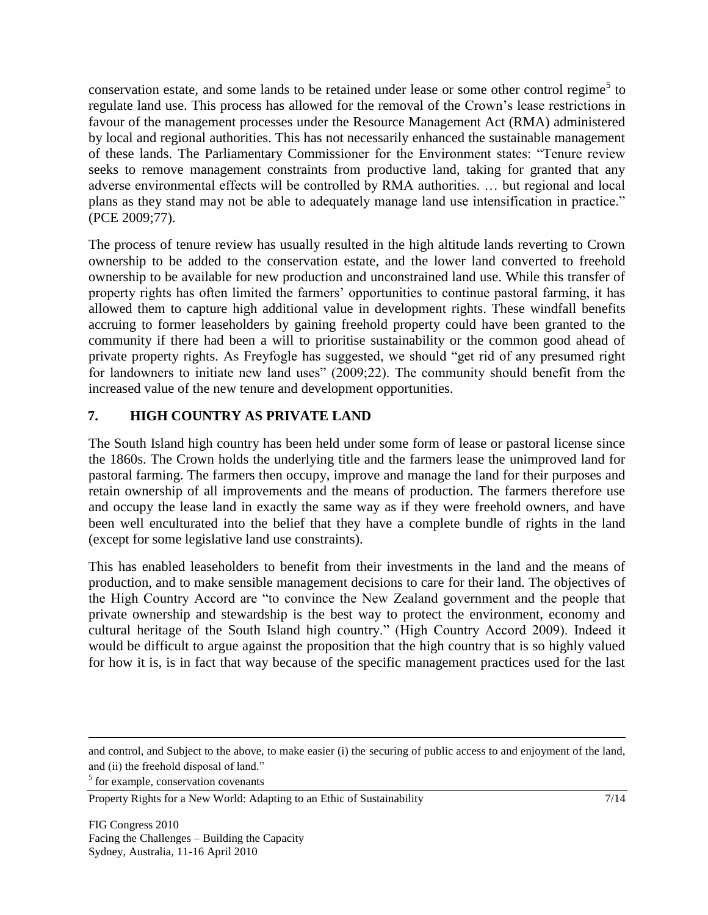conservation estate, and some lands to be retained under lease or some other control regime<sup>5</sup> to regulate land use. This process has allowed for the removal of the Crown"s lease restrictions in favour of the management processes under the Resource Management Act (RMA) administered by local and regional authorities. This has not necessarily enhanced the sustainable management of these lands. The Parliamentary Commissioner for the Environment states: "Tenure review seeks to remove management constraints from productive land, taking for granted that any adverse environmental effects will be controlled by RMA authorities. … but regional and local plans as they stand may not be able to adequately manage land use intensification in practice." (PCE 2009;77).

The process of tenure review has usually resulted in the high altitude lands reverting to Crown ownership to be added to the conservation estate, and the lower land converted to freehold ownership to be available for new production and unconstrained land use. While this transfer of property rights has often limited the farmers" opportunities to continue pastoral farming, it has allowed them to capture high additional value in development rights. These windfall benefits accruing to former leaseholders by gaining freehold property could have been granted to the community if there had been a will to prioritise sustainability or the common good ahead of private property rights. As Freyfogle has suggested, we should "get rid of any presumed right for landowners to initiate new land uses" (2009;22). The community should benefit from the increased value of the new tenure and development opportunities.

# **7. HIGH COUNTRY AS PRIVATE LAND**

The South Island high country has been held under some form of lease or pastoral license since the 1860s. The Crown holds the underlying title and the farmers lease the unimproved land for pastoral farming. The farmers then occupy, improve and manage the land for their purposes and retain ownership of all improvements and the means of production. The farmers therefore use and occupy the lease land in exactly the same way as if they were freehold owners, and have been well enculturated into the belief that they have a complete bundle of rights in the land (except for some legislative land use constraints).

This has enabled leaseholders to benefit from their investments in the land and the means of production, and to make sensible management decisions to care for their land. The objectives of the High Country Accord are "to convince the New Zealand government and the people that private ownership and stewardship is the best way to protect the environment, economy and cultural heritage of the South Island high country." (High Country Accord 2009). Indeed it would be difficult to argue against the proposition that the high country that is so highly valued for how it is, is in fact that way because of the specific management practices used for the last

<sup>5</sup> for example, conservation covenants

and control, and Subject to the above, to make easier (i) the securing of public access to and enjoyment of the land, and (ii) the freehold disposal of land."

Property Rights for a New World: Adapting to an Ethic of Sustainability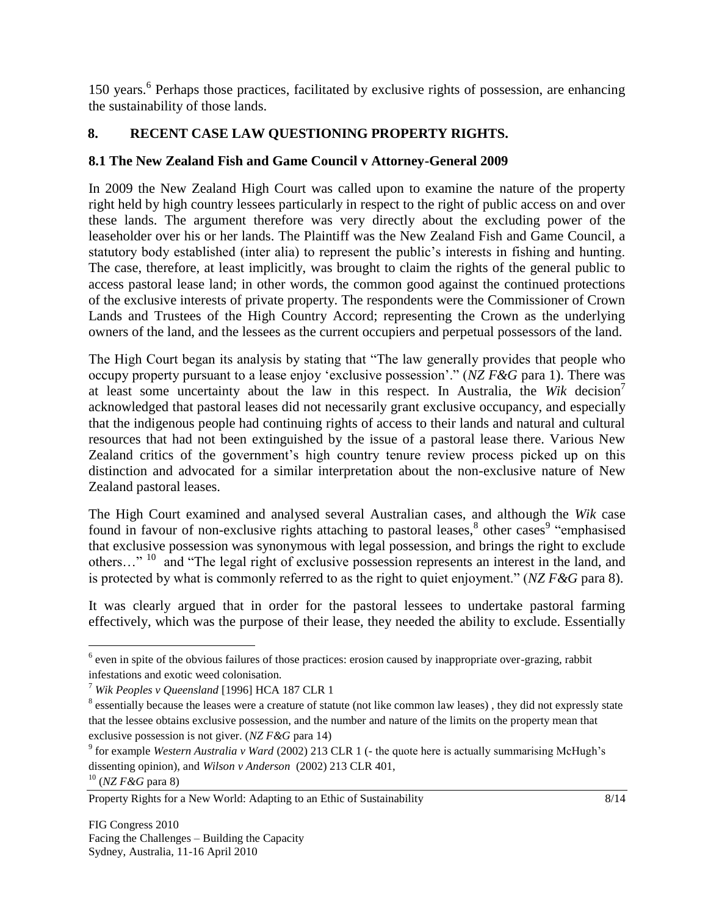150 years.<sup>6</sup> Perhaps those practices, facilitated by exclusive rights of possession, are enhancing the sustainability of those lands.

# **8. RECENT CASE LAW QUESTIONING PROPERTY RIGHTS.**

## **8.1 The New Zealand Fish and Game Council v Attorney-General 2009**

In 2009 the New Zealand High Court was called upon to examine the nature of the property right held by high country lessees particularly in respect to the right of public access on and over these lands. The argument therefore was very directly about the excluding power of the leaseholder over his or her lands. The Plaintiff was the New Zealand Fish and Game Council, a statutory body established (inter alia) to represent the public"s interests in fishing and hunting. The case, therefore, at least implicitly, was brought to claim the rights of the general public to access pastoral lease land; in other words, the common good against the continued protections of the exclusive interests of private property. The respondents were the Commissioner of Crown Lands and Trustees of the High Country Accord; representing the Crown as the underlying owners of the land, and the lessees as the current occupiers and perpetual possessors of the land.

The High Court began its analysis by stating that "The law generally provides that people who occupy property pursuant to a lease enjoy "exclusive possession"." (*NZ F&G* para 1). There was at least some uncertainty about the law in this respect. In Australia, the *Wik* decision<sup>7</sup> acknowledged that pastoral leases did not necessarily grant exclusive occupancy, and especially that the indigenous people had continuing rights of access to their lands and natural and cultural resources that had not been extinguished by the issue of a pastoral lease there. Various New Zealand critics of the government's high country tenure review process picked up on this distinction and advocated for a similar interpretation about the non-exclusive nature of New Zealand pastoral leases.

The High Court examined and analysed several Australian cases, and although the *Wik* case found in favour of non-exclusive rights attaching to pastoral leases,<sup>8</sup> other cases<sup>9</sup> "emphasised that exclusive possession was synonymous with legal possession, and brings the right to exclude others..."<sup>10</sup> and "The legal right of exclusive possession represents an interest in the land, and is protected by what is commonly referred to as the right to quiet enjoyment." (*NZ F&G* para 8).

It was clearly argued that in order for the pastoral lessees to undertake pastoral farming effectively, which was the purpose of their lease, they needed the ability to exclude. Essentially

 $6$  even in spite of the obvious failures of those practices: erosion caused by inappropriate over-grazing, rabbit infestations and exotic weed colonisation.

<sup>7</sup> *Wik Peoples v Queensland* [1996] HCA 187 CLR 1

 $8$  essentially because the leases were a creature of statute (not like common law leases), they did not expressly state that the lessee obtains exclusive possession, and the number and nature of the limits on the property mean that exclusive possession is not giver. (*NZ F&G* para 14)

<sup>&</sup>lt;sup>9</sup> for example *Western Australia v Ward* (2002) 213 CLR 1 (- the quote here is actually summarising McHugh's dissenting opinion), and *Wilson v Anderson* (2002) 213 CLR 401, <sup>10</sup> (*NZ F&G* para 8)

Property Rights for a New World: Adapting to an Ethic of Sustainability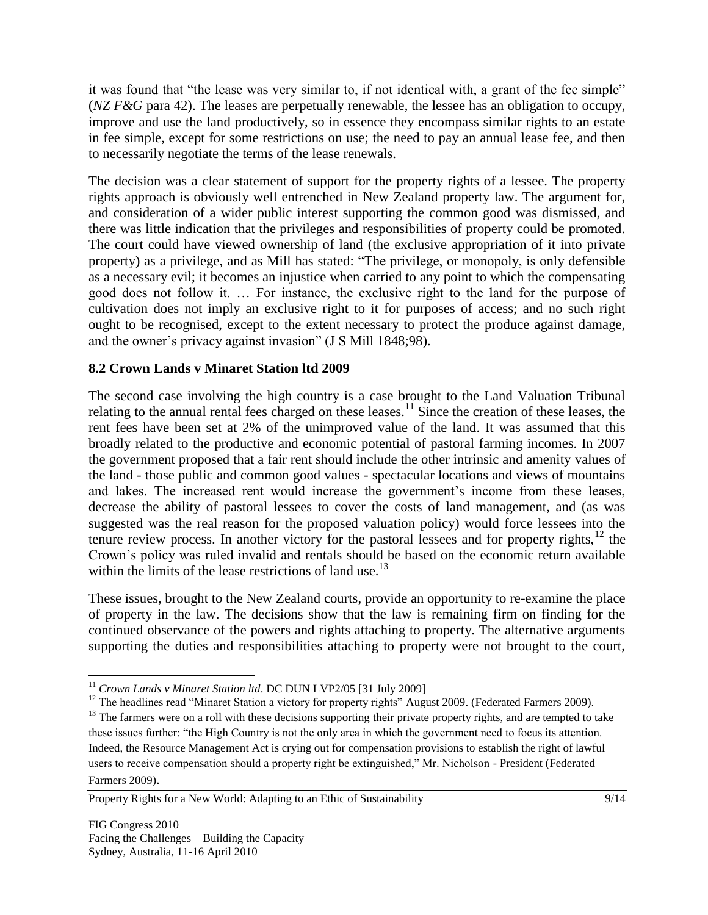it was found that "the lease was very similar to, if not identical with, a grant of the fee simple" (*NZ F&G* para 42). The leases are perpetually renewable, the lessee has an obligation to occupy, improve and use the land productively, so in essence they encompass similar rights to an estate in fee simple, except for some restrictions on use; the need to pay an annual lease fee, and then to necessarily negotiate the terms of the lease renewals.

The decision was a clear statement of support for the property rights of a lessee. The property rights approach is obviously well entrenched in New Zealand property law. The argument for, and consideration of a wider public interest supporting the common good was dismissed, and there was little indication that the privileges and responsibilities of property could be promoted. The court could have viewed ownership of land (the exclusive appropriation of it into private property) as a privilege, and as Mill has stated: "The privilege, or monopoly, is only defensible as a necessary evil; it becomes an injustice when carried to any point to which the compensating good does not follow it. … For instance, the exclusive right to the land for the purpose of cultivation does not imply an exclusive right to it for purposes of access; and no such right ought to be recognised, except to the extent necessary to protect the produce against damage, and the owner"s privacy against invasion" (J S Mill 1848;98).

## **8.2 Crown Lands v Minaret Station ltd 2009**

The second case involving the high country is a case brought to the Land Valuation Tribunal relating to the annual rental fees charged on these leases.<sup>11</sup> Since the creation of these leases, the rent fees have been set at 2% of the unimproved value of the land. It was assumed that this broadly related to the productive and economic potential of pastoral farming incomes. In 2007 the government proposed that a fair rent should include the other intrinsic and amenity values of the land - those public and common good values - spectacular locations and views of mountains and lakes. The increased rent would increase the government's income from these leases, decrease the ability of pastoral lessees to cover the costs of land management, and (as was suggested was the real reason for the proposed valuation policy) would force lessees into the tenure review process. In another victory for the pastoral lessees and for property rights, $12$  the Crown"s policy was ruled invalid and rentals should be based on the economic return available within the limits of the lease restrictions of land use.<sup>13</sup>

These issues, brought to the New Zealand courts, provide an opportunity to re-examine the place of property in the law. The decisions show that the law is remaining firm on finding for the continued observance of the powers and rights attaching to property. The alternative arguments supporting the duties and responsibilities attaching to property were not brought to the court,

<sup>11</sup> *Crown Lands v Minaret Station ltd*. DC DUN LVP2/05 [31 July 2009]

<sup>&</sup>lt;sup>12</sup> The headlines read "Minaret Station a victory for property rights" August 2009. (Federated Farmers 2009).

<sup>&</sup>lt;sup>13</sup> The farmers were on a roll with these decisions supporting their private property rights, and are tempted to take these issues further: "the High Country is not the only area in which the government need to focus its attention. Indeed, the Resource Management Act is crying out for compensation provisions to establish the right of lawful users to receive compensation should a property right be extinguished," Mr. Nicholson - President (Federated Farmers 2009).

Property Rights for a New World: Adapting to an Ethic of Sustainability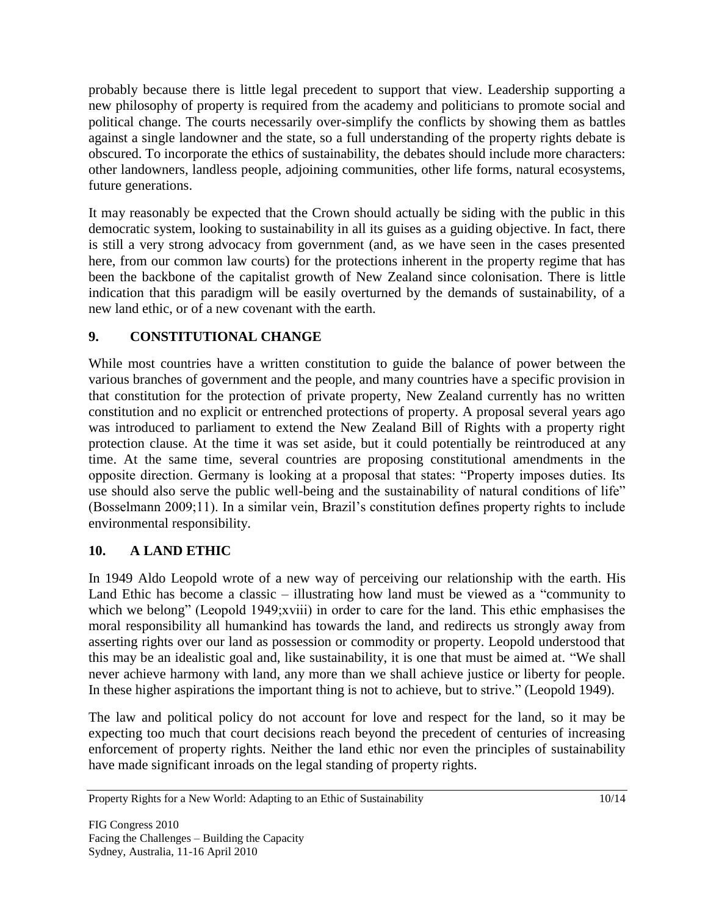probably because there is little legal precedent to support that view. Leadership supporting a new philosophy of property is required from the academy and politicians to promote social and political change. The courts necessarily over-simplify the conflicts by showing them as battles against a single landowner and the state, so a full understanding of the property rights debate is obscured. To incorporate the ethics of sustainability, the debates should include more characters: other landowners, landless people, adjoining communities, other life forms, natural ecosystems, future generations.

It may reasonably be expected that the Crown should actually be siding with the public in this democratic system, looking to sustainability in all its guises as a guiding objective. In fact, there is still a very strong advocacy from government (and, as we have seen in the cases presented here, from our common law courts) for the protections inherent in the property regime that has been the backbone of the capitalist growth of New Zealand since colonisation. There is little indication that this paradigm will be easily overturned by the demands of sustainability, of a new land ethic, or of a new covenant with the earth.

# **9. CONSTITUTIONAL CHANGE**

While most countries have a written constitution to guide the balance of power between the various branches of government and the people, and many countries have a specific provision in that constitution for the protection of private property, New Zealand currently has no written constitution and no explicit or entrenched protections of property. A proposal several years ago was introduced to parliament to extend the New Zealand Bill of Rights with a property right protection clause. At the time it was set aside, but it could potentially be reintroduced at any time. At the same time, several countries are proposing constitutional amendments in the opposite direction. Germany is looking at a proposal that states: "Property imposes duties. Its use should also serve the public well-being and the sustainability of natural conditions of life" (Bosselmann 2009;11). In a similar vein, Brazil"s constitution defines property rights to include environmental responsibility.

## **10. A LAND ETHIC**

In 1949 Aldo Leopold wrote of a new way of perceiving our relationship with the earth. His Land Ethic has become a classic – illustrating how land must be viewed as a "community to which we belong" (Leopold 1949;xviii) in order to care for the land. This ethic emphasises the moral responsibility all humankind has towards the land, and redirects us strongly away from asserting rights over our land as possession or commodity or property. Leopold understood that this may be an idealistic goal and, like sustainability, it is one that must be aimed at. "We shall never achieve harmony with land, any more than we shall achieve justice or liberty for people. In these higher aspirations the important thing is not to achieve, but to strive." (Leopold 1949).

The law and political policy do not account for love and respect for the land, so it may be expecting too much that court decisions reach beyond the precedent of centuries of increasing enforcement of property rights. Neither the land ethic nor even the principles of sustainability have made significant inroads on the legal standing of property rights.

Property Rights for a New World: Adapting to an Ethic of Sustainability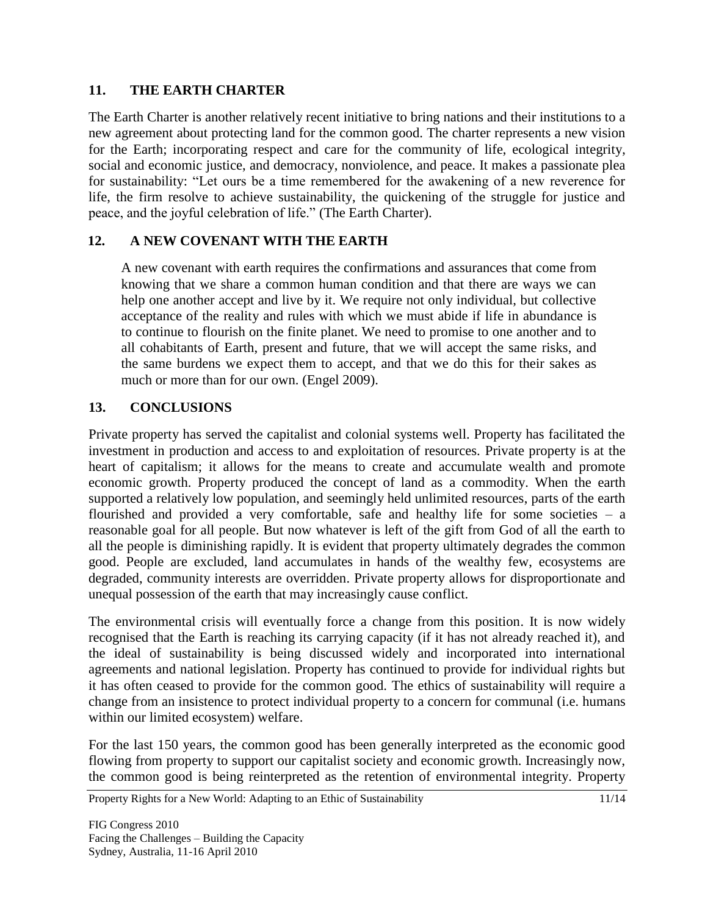## **11. THE EARTH CHARTER**

The Earth Charter is another relatively recent initiative to bring nations and their institutions to a new agreement about protecting land for the common good. The charter represents a new vision for the Earth; incorporating respect and care for the community of life, ecological integrity, social and economic justice, and democracy, nonviolence, and peace. It makes a passionate plea for sustainability: "Let ours be a time remembered for the awakening of a new reverence for life, the firm resolve to achieve sustainability, the quickening of the struggle for justice and peace, and the joyful celebration of life." (The Earth Charter).

# **12. A NEW COVENANT WITH THE EARTH**

A new covenant with earth requires the confirmations and assurances that come from knowing that we share a common human condition and that there are ways we can help one another accept and live by it. We require not only individual, but collective acceptance of the reality and rules with which we must abide if life in abundance is to continue to flourish on the finite planet. We need to promise to one another and to all cohabitants of Earth, present and future, that we will accept the same risks, and the same burdens we expect them to accept, and that we do this for their sakes as much or more than for our own. (Engel 2009).

## **13. CONCLUSIONS**

Private property has served the capitalist and colonial systems well. Property has facilitated the investment in production and access to and exploitation of resources. Private property is at the heart of capitalism; it allows for the means to create and accumulate wealth and promote economic growth. Property produced the concept of land as a commodity. When the earth supported a relatively low population, and seemingly held unlimited resources, parts of the earth flourished and provided a very comfortable, safe and healthy life for some societies – a reasonable goal for all people. But now whatever is left of the gift from God of all the earth to all the people is diminishing rapidly. It is evident that property ultimately degrades the common good. People are excluded, land accumulates in hands of the wealthy few, ecosystems are degraded, community interests are overridden. Private property allows for disproportionate and unequal possession of the earth that may increasingly cause conflict.

The environmental crisis will eventually force a change from this position. It is now widely recognised that the Earth is reaching its carrying capacity (if it has not already reached it), and the ideal of sustainability is being discussed widely and incorporated into international agreements and national legislation. Property has continued to provide for individual rights but it has often ceased to provide for the common good. The ethics of sustainability will require a change from an insistence to protect individual property to a concern for communal (i.e. humans within our limited ecosystem) welfare.

For the last 150 years, the common good has been generally interpreted as the economic good flowing from property to support our capitalist society and economic growth. Increasingly now, the common good is being reinterpreted as the retention of environmental integrity. Property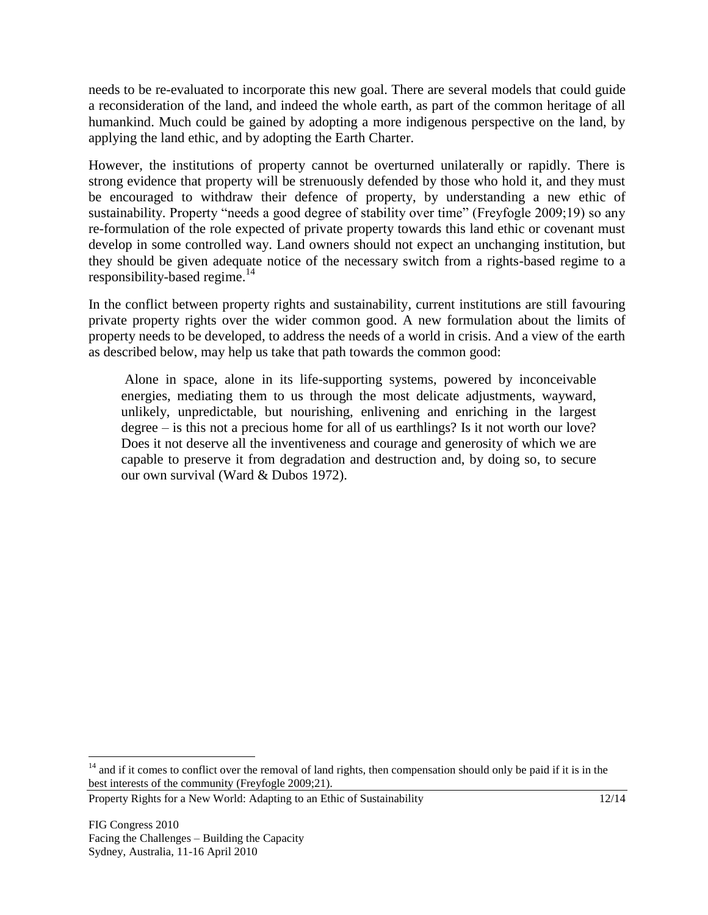needs to be re-evaluated to incorporate this new goal. There are several models that could guide a reconsideration of the land, and indeed the whole earth, as part of the common heritage of all humankind. Much could be gained by adopting a more indigenous perspective on the land, by applying the land ethic, and by adopting the Earth Charter.

However, the institutions of property cannot be overturned unilaterally or rapidly. There is strong evidence that property will be strenuously defended by those who hold it, and they must be encouraged to withdraw their defence of property, by understanding a new ethic of sustainability. Property "needs a good degree of stability over time" (Freyfogle 2009;19) so any re-formulation of the role expected of private property towards this land ethic or covenant must develop in some controlled way. Land owners should not expect an unchanging institution, but they should be given adequate notice of the necessary switch from a rights-based regime to a responsibility-based regime. $14$ 

In the conflict between property rights and sustainability, current institutions are still favouring private property rights over the wider common good. A new formulation about the limits of property needs to be developed, to address the needs of a world in crisis. And a view of the earth as described below, may help us take that path towards the common good:

Alone in space, alone in its life-supporting systems, powered by inconceivable energies, mediating them to us through the most delicate adjustments, wayward, unlikely, unpredictable, but nourishing, enlivening and enriching in the largest degree – is this not a precious home for all of us earthlings? Is it not worth our love? Does it not deserve all the inventiveness and courage and generosity of which we are capable to preserve it from degradation and destruction and, by doing so, to secure our own survival (Ward & Dubos 1972).

 $14$  and if it comes to conflict over the removal of land rights, then compensation should only be paid if it is in the best interests of the community (Freyfogle 2009;21).

Property Rights for a New World: Adapting to an Ethic of Sustainability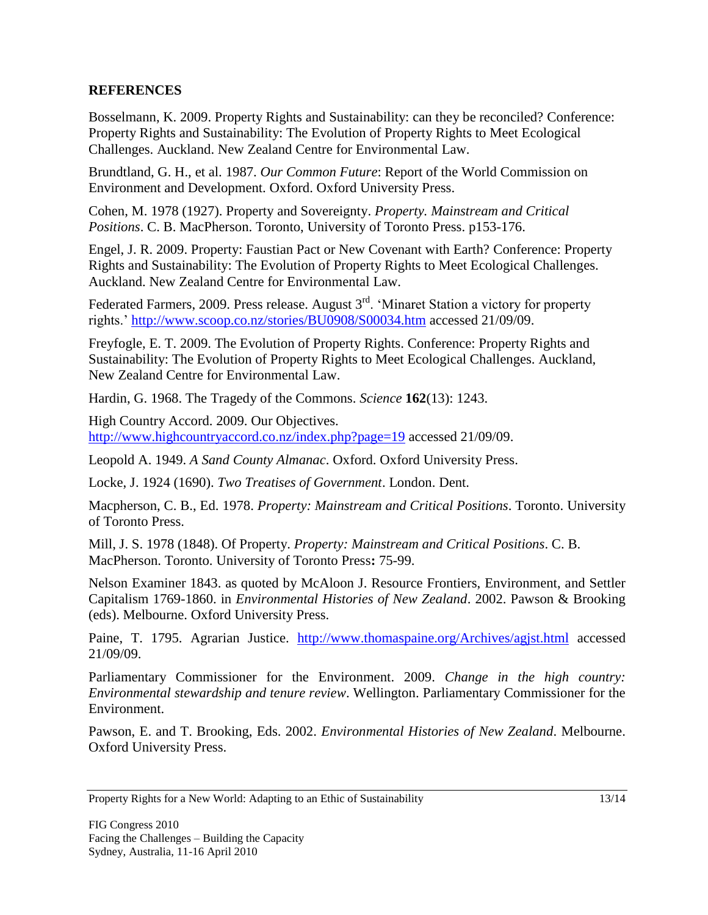## **REFERENCES**

Bosselmann, K. 2009. Property Rights and Sustainability: can they be reconciled? Conference: Property Rights and Sustainability: The Evolution of Property Rights to Meet Ecological Challenges. Auckland. New Zealand Centre for Environmental Law.

Brundtland, G. H., et al. 1987. *Our Common Future*: Report of the World Commission on Environment and Development. Oxford. Oxford University Press.

Cohen, M. 1978 (1927). Property and Sovereignty. *Property. Mainstream and Critical Positions*. C. B. MacPherson. Toronto, University of Toronto Press. p153-176.

Engel, J. R. 2009. Property: Faustian Pact or New Covenant with Earth? Conference: Property Rights and Sustainability: The Evolution of Property Rights to Meet Ecological Challenges. Auckland. New Zealand Centre for Environmental Law.

Federated Farmers, 2009. Press release. August 3<sup>rd</sup>. 'Minaret Station a victory for property rights."<http://www.scoop.co.nz/stories/BU0908/S00034.htm> accessed 21/09/09.

Freyfogle, E. T. 2009. The Evolution of Property Rights. Conference: Property Rights and Sustainability: The Evolution of Property Rights to Meet Ecological Challenges. Auckland, New Zealand Centre for Environmental Law.

Hardin, G. 1968. The Tragedy of the Commons. *Science* **162**(13): 1243.

High Country Accord. 2009. Our Objectives. <http://www.highcountryaccord.co.nz/index.php?page=19> accessed 21/09/09.

Leopold A. 1949. *A Sand County Almanac*. Oxford. Oxford University Press.

Locke, J. 1924 (1690). *Two Treatises of Government*. London. Dent.

Macpherson, C. B., Ed. 1978. *Property: Mainstream and Critical Positions*. Toronto. University of Toronto Press.

Mill, J. S. 1978 (1848). Of Property. *Property: Mainstream and Critical Positions*. C. B. MacPherson. Toronto. University of Toronto Press**:** 75-99.

Nelson Examiner 1843. as quoted by McAloon J. Resource Frontiers, Environment, and Settler Capitalism 1769-1860. in *Environmental Histories of New Zealand*. 2002. Pawson & Brooking (eds). Melbourne. Oxford University Press.

Paine, T. 1795. Agrarian Justice. <http://www.thomaspaine.org/Archives/agjst.html> accessed 21/09/09.

Parliamentary Commissioner for the Environment. 2009. *Change in the high country: Environmental stewardship and tenure review*. Wellington. Parliamentary Commissioner for the Environment.

Pawson, E. and T. Brooking, Eds. 2002. *Environmental Histories of New Zealand*. Melbourne. Oxford University Press.

Property Rights for a New World: Adapting to an Ethic of Sustainability